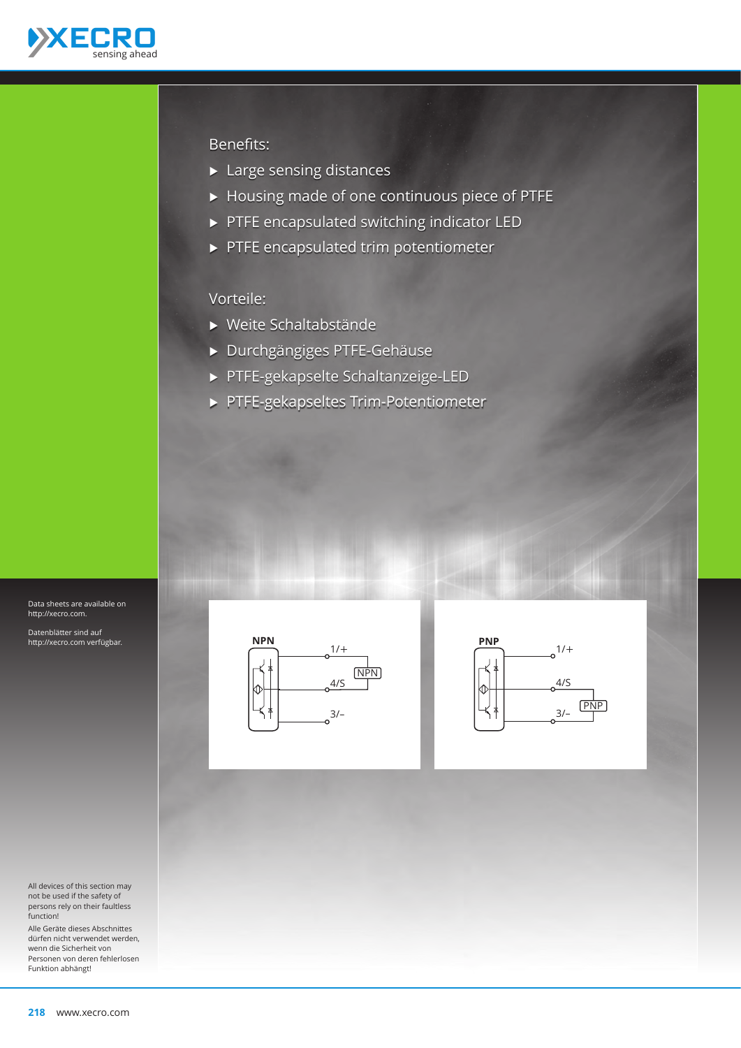

#### Benefits:

- $\blacktriangleright$  Large sensing distances
- Ѝ Housing made of one continuous piece of PTFE
- Ѝ PTFE encapsulated switching indicator LED
- Ѝ PTFE encapsulated trim potentiometer

### Vorteile:

- Ѝ Weite Schaltabstände
- Ѝ Durchgängiges PTFE-Gehäuse
- Ѝ PTFE-gekapselte Schaltanzeige-LED
- Ѝ PTFE-gekapseltes Trim-Potentiometer



Datenblätter sind auf http://xecro.com verfügbar.

All devices of this section may not be used if the safety of persons rely on their faultless function!

Alle Geräte dieses Abschnittes dürfen nicht verwendet werden, wenn die Sicherheit von Personen von deren fehlerlosen Funktion abhängt!



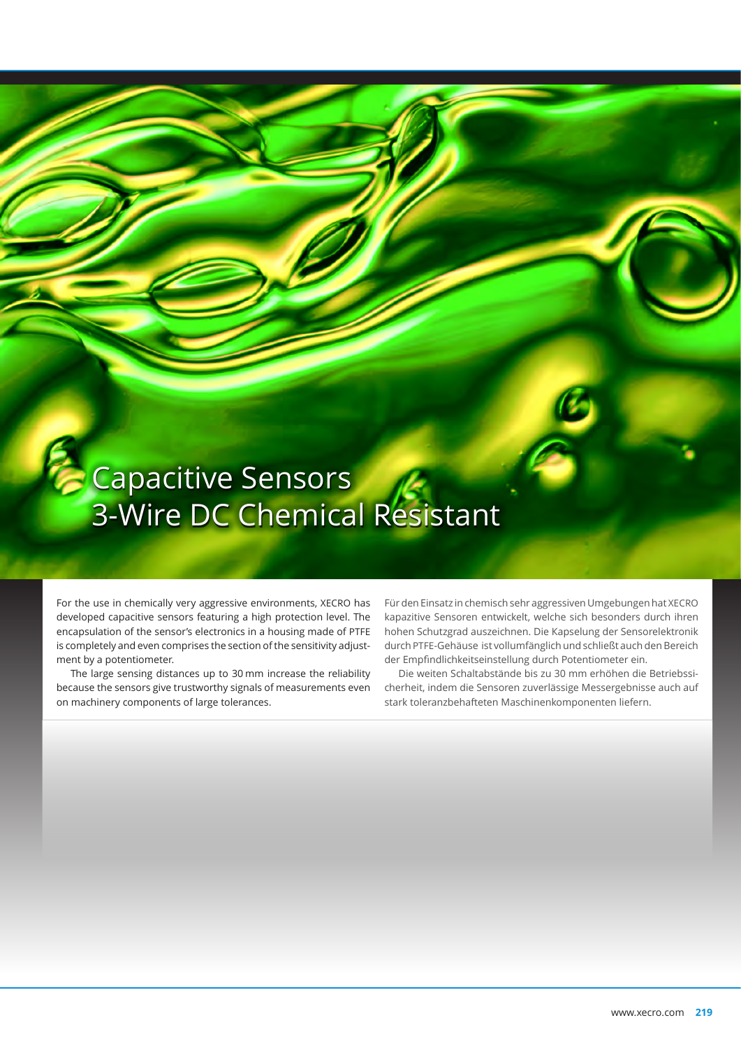# **Capacitive Sensors** 3-Wire DC Chemical Resistant

For the use in chemically very aggressive environments, XECRO has developed capacitive sensors featuring a high protection level. The encapsulation of the sensor's electronics in a housing made of PTFE is completely and even comprises the section of the sensitivity adjustment by a potentiometer.

The large sensing distances up to 30 mm increase the reliability because the sensors give trustworthy signals of measurements even on machinery components of large tolerances.

Für den Einsatz in chemisch sehr aggressiven Umgebungen hat XECRO kapazitive Sensoren entwickelt, welche sich besonders durch ihren hohen Schutzgrad auszeichnen. Die Kapselung der Sensorelektronik durch PTFE-Gehäuse ist vollumfänglich und schließt auch den Bereich der Empfindlichkeitseinstellung durch Potentiometer ein.

Die weiten Schaltabstände bis zu 30 mm erhöhen die Betriebssicherheit, indem die Sensoren zuverlässige Messergebnisse auch auf stark toleranzbehafteten Maschinenkomponenten liefern.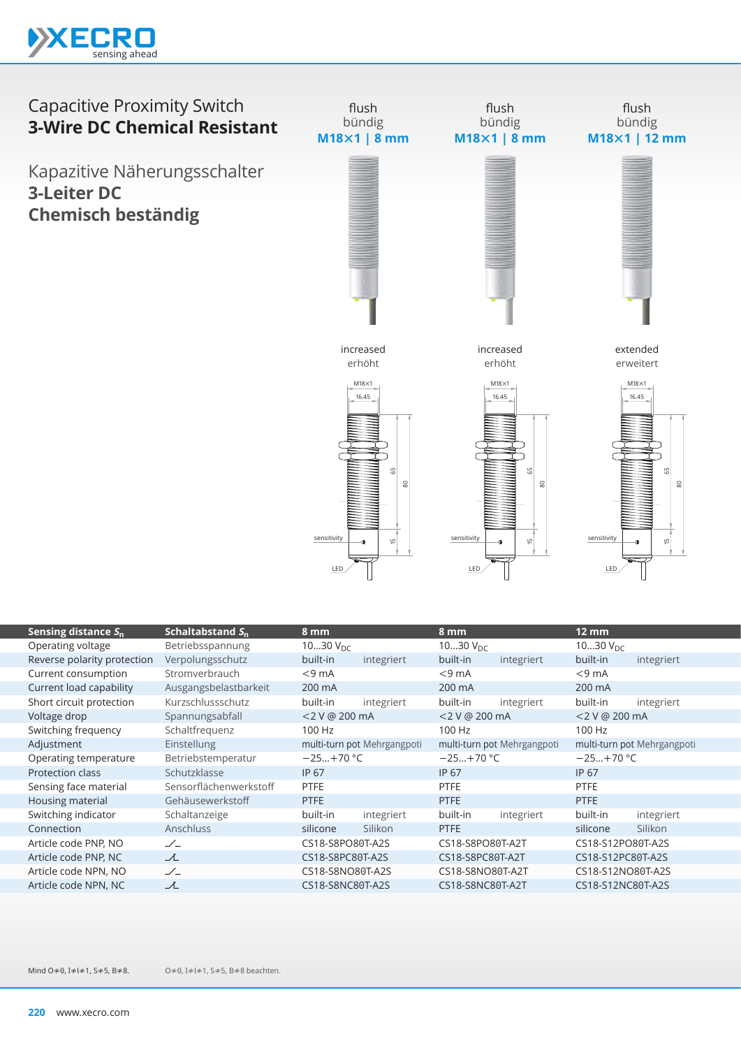

## Capacitive Proximity Switch **3-Wire DC Chemical Resistant**

Kapazitive Näherungsschalter **3-Leiter DC Chemisch beständig**



| Sensing distance $S_n$      | Schaltabstand S <sub>n</sub> | 8 mm                        |            | 8 mm                        |            | $12 \, \text{mm}$           |            |
|-----------------------------|------------------------------|-----------------------------|------------|-----------------------------|------------|-----------------------------|------------|
| Operating voltage           | Betriebsspannung             | 1030 $V_{DC}$               |            | 1030 $V_{DC}$               |            | 1030 $V_{\text{DC}}$        |            |
| Reverse polarity protection | Verpolungsschutz             | built-in                    | integriert | built-in                    | integriert | built-in                    | integriert |
| Current consumption         | Stromverbrauch               | $<$ 9 mA                    |            | $<$ 9 mA                    |            | $<$ 9 mA                    |            |
| Current load capability     | Ausgangsbelastbarkeit        | 200 mA                      |            | 200 mA                      |            | 200 mA                      |            |
| Short circuit protection    | Kurzschlussschutz            | built-in                    | integriert | built-in                    | integriert | built-in                    | integriert |
| Voltage drop                | Spannungsabfall              | <2 V @ 200 mA               |            | <2 V @ 200 mA               |            | <2 V @ 200 mA               |            |
| Switching frequency         | Schaltfrequenz               | 100 Hz                      |            | 100 Hz                      |            | 100 Hz                      |            |
| Adjustment                  | <b>Einstellung</b>           | multi-turn pot Mehrgangpoti |            | multi-turn pot Mehrgangpoti |            | multi-turn pot Mehrgangpoti |            |
| Operating temperature       | Betriebstemperatur           | $-25+70 °C$                 |            | $-25+70$ °C                 |            | $-25+70$ °C                 |            |
| <b>Protection class</b>     | Schutzklasse                 | <b>IP 67</b>                |            | IP 67                       |            | <b>IP 67</b>                |            |
| Sensing face material       | Sensorflächenwerkstoff       | <b>PTFE</b>                 |            | <b>PTFE</b>                 |            | <b>PTFE</b>                 |            |
| Housing material            | Gehäusewerkstoff             | <b>PTFE</b>                 |            | PTFE                        |            | <b>PTFE</b>                 |            |
| Switching indicator         | Schaltanzeige                | built-in                    | integriert | built-in                    | integriert | built-in                    | integriert |
| Connection                  | <b>Anschluss</b>             | silicone                    | Silikon    | <b>PTFE</b>                 |            | silicone                    | Silikon    |
| Article code PNP, NO        | $\angle$                     | CS18-S8PO80T-A2S            |            | CS18-S8PO80T-A2T            |            | CS18-S12PO80T-A2S           |            |
| Article code PNP, NC        | 工                            | CS18-S8PC80T-A2S            |            | CS18-S8PC80T-A2T            |            | CS18-S12PC80T-A2S           |            |
| Article code NPN, NO        | $\angle$                     | CS18-S8NO80T-A2S            |            | CS18-S8NO80T-A2T            |            | CS18-S12NO80T-A2S           |            |
| Article code NPN, NC        | ᆺ                            | CS18-S8NC80T-A2S            |            | CS18-S8NC80T-A2T            |            | CS18-S12NC80T-A2S           |            |

O≠0, I≠l≠1, S≠5, B≠8 beachten. Mind O≠0, I≠l≠1, S≠5, B≠8.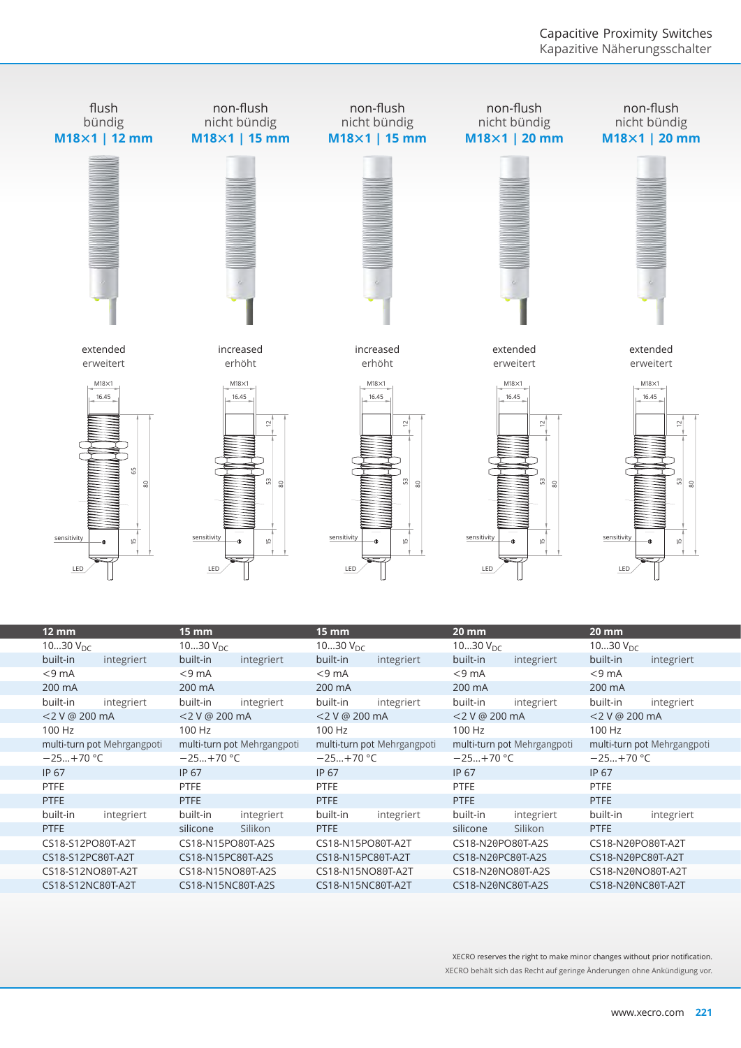

| 12 mm                       | 15 mm                       | 15 mm                       | 20 mm                       | 20 mm                       |  |
|-----------------------------|-----------------------------|-----------------------------|-----------------------------|-----------------------------|--|
| 1030 $V_{DC}$               | 1030 $V_{DC}$               | 1030 $V_{DC}$               | 1030 $V_{DC}$               | 1030 $V_{DC}$               |  |
| built-in<br>integriert      | built-in<br>integriert      | built-in<br>integriert      | built-in<br>integriert      | built-in<br>integriert      |  |
| $<$ 9 mA                    | $<$ 9 mA                    | $<$ 9 mA                    | $<$ 9 mA                    | $<$ 9 mA                    |  |
| 200 mA                      | 200 mA                      | 200 mA                      | 200 mA                      | 200 mA                      |  |
| built-in<br>integriert      | built-in<br>integriert      | built-in<br>integriert      | built-in<br>integriert      | built-in<br>integriert      |  |
| <2 V @ 200 mA               | $<$ 2 V @ 200 mA            | <2 V @ 200 mA               | <2 V @ 200 mA               | <2 V @ 200 mA               |  |
| 100 Hz                      | 100 Hz                      | 100 Hz                      | 100 Hz                      | 100 Hz                      |  |
| multi-turn pot Mehrgangpoti | multi-turn pot Mehrgangpoti | multi-turn pot Mehrgangpoti | multi-turn pot Mehrgangpoti | multi-turn pot Mehrgangpoti |  |
| $-25+70$ °C                 | $-25+70$ °C                 | $-25+70$ °C                 | $-25+70$ °C                 | $-25+70$ °C                 |  |
| IP 67                       | <b>IP 67</b>                | IP 67                       | IP 67                       | IP 67                       |  |
| <b>PTFE</b>                 | <b>PTFE</b>                 | <b>PTFE</b>                 | <b>PTFE</b>                 | <b>PTFE</b>                 |  |
| PTFE                        | <b>PTFE</b>                 | <b>PTFE</b>                 | <b>PTFE</b>                 | <b>PTFE</b>                 |  |
| built-in<br>integriert      | built-in<br>integriert      | built-in<br>integriert      | built-in<br>integriert      | built-in<br>integriert      |  |
| <b>PTFE</b>                 | Silikon<br>silicone         | <b>PTFE</b>                 | silicone<br>Silikon         | <b>PTFE</b>                 |  |
| CS18-S12PO80T-A2T           | CS18-N15PO80T-A2S           | CS18-N15PO80T-A2T           | CS18-N20PO80T-A2S           | CS18-N20PO80T-A2T           |  |
| CS18-S12PC80T-A2T           | CS18-N15PC80T-A2S           | CS18-N15PC80T-A2T           | CS18-N20PC80T-A2S           | CS18-N20PC80T-A2T           |  |
| CS18-S12NO80T-A2T           | CS18-N15NO80T-A2S           | CS18-N15NO80T-A2T           | CS18-N20NO80T-A2S           | CS18-N20NO80T-A2T           |  |
| CS18-S12NC80T-A2T           | CS18-N15NC80T-A2S           | CS18-N15NC80T-A2T           | CS18-N20NC80T-A2S           | CS18-N20NC80T-A2T           |  |
|                             |                             |                             |                             |                             |  |

XECRO reserves the right to make minor changes without prior notification. XECRO behält sich das Recht auf geringe Änderungen ohne Ankündigung vor.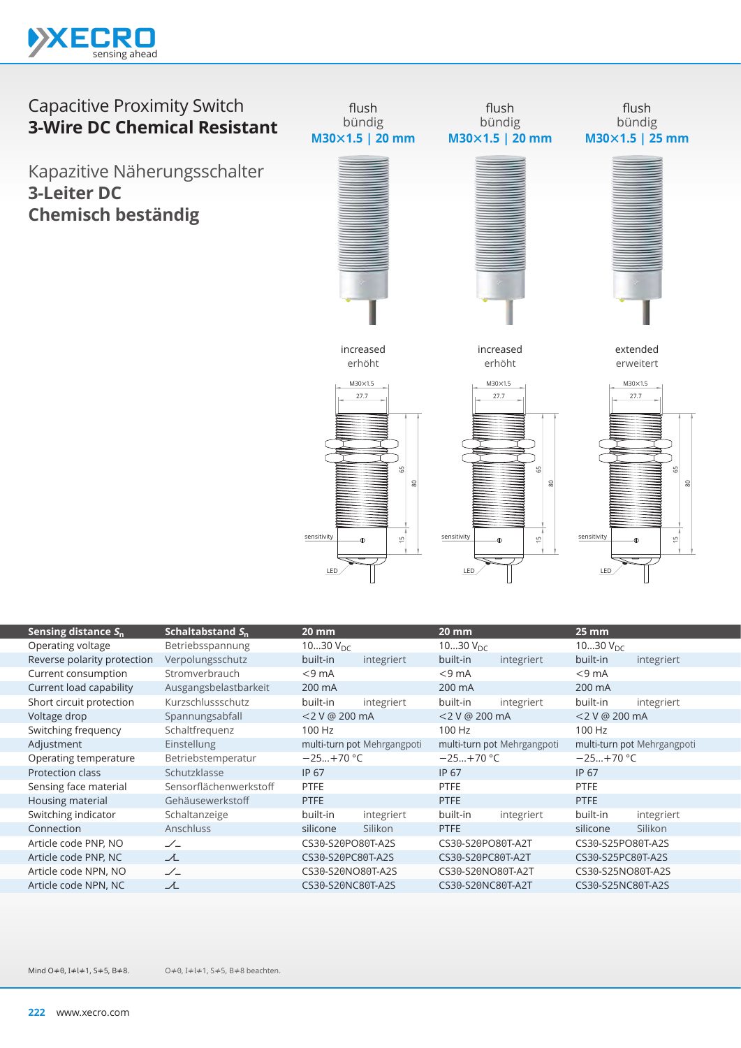

## Capacitive Proximity Switch **3-Wire DC Chemical Resistant**

Kapazitive Näherungsschalter **3-Leiter DC Chemisch beständig**



| Sensing distance $S_n$      | Schaltabstand $S_n$    | 20 mm                       |            | <b>20 mm</b>                |            | $25 \, \text{mm}$           |            |
|-----------------------------|------------------------|-----------------------------|------------|-----------------------------|------------|-----------------------------|------------|
| Operating voltage           | Betriebsspannung       | 1030 $V_{DC}$               |            | 1030 $V_{\text{DC}}$        |            | 1030 $V_{\text{DC}}$        |            |
| Reverse polarity protection | Verpolungsschutz       | built-in                    | integriert | built-in                    | integriert | built-in                    | integriert |
| Current consumption         | Stromverbrauch         | $<$ 9 mA                    |            | $< 9$ mA                    |            | $<$ 9 mA                    |            |
| Current load capability     | Ausgangsbelastbarkeit  | 200 mA                      |            | 200 mA                      |            | 200 mA                      |            |
| Short circuit protection    | Kurzschlussschutz      | built-in                    | integriert | built-in                    | integriert | built-in                    | integriert |
| Voltage drop                | Spannungsabfall        | <2 V @ 200 mA               |            | <2 V @ 200 mA               |            | <2 V @ 200 mA               |            |
| Switching frequency         | Schaltfrequenz         | 100 Hz                      |            | 100 Hz                      |            | 100 Hz                      |            |
| Adjustment                  | Einstellung            | multi-turn pot Mehrgangpoti |            | multi-turn pot Mehrgangpoti |            | multi-turn pot Mehrgangpoti |            |
| Operating temperature       | Betriebstemperatur     | $-25+70$ °C                 |            | $-25+70$ °C                 |            | $-25+70$ °C                 |            |
| Protection class            | Schutzklasse           | <b>IP 67</b>                |            | <b>IP 67</b>                |            | <b>IP 67</b>                |            |
| Sensing face material       | Sensorflächenwerkstoff | <b>PTFE</b>                 |            | <b>PTFE</b>                 |            | <b>PTFE</b>                 |            |
| Housing material            | Gehäusewerkstoff       | PTFE                        |            | <b>PTFE</b>                 |            | <b>PTFE</b>                 |            |
| Switching indicator         | Schaltanzeige          | built-in                    | integriert | built-in                    | integriert | built-in                    | integriert |
| Connection                  | <b>Anschluss</b>       | silicone                    | Silikon    | <b>PTFE</b>                 |            | silicone                    | Silikon    |
| Article code PNP, NO        | $\angle$               | CS30-S20PO80T-A2S           |            | CS30-S20PO80T-A2T           |            | CS30-S25PO80T-A2S           |            |
| Article code PNP, NC        | ᆺ                      | CS30-S20PC80T-A2S           |            | CS30-S20PC80T-A2T           |            | CS30-S25PC80T-A2S           |            |
| Article code NPN, NO        | $\angle$               | CS30-S20NO80T-A2S           |            | CS30-S20NO80T-A2T           |            | CS30-S25NO80T-A2S           |            |
| Article code NPN, NC        | $\lambda$              | CS30-S20NC80T-A2S           |            | CS30-S20NC80T-A2T           |            | CS30-S25NC80T-A2S           |            |

O≠0, I≠l≠1, S≠5, B≠8 beachten. Mind O≠0, I≠l≠1, S≠5, B≠8.